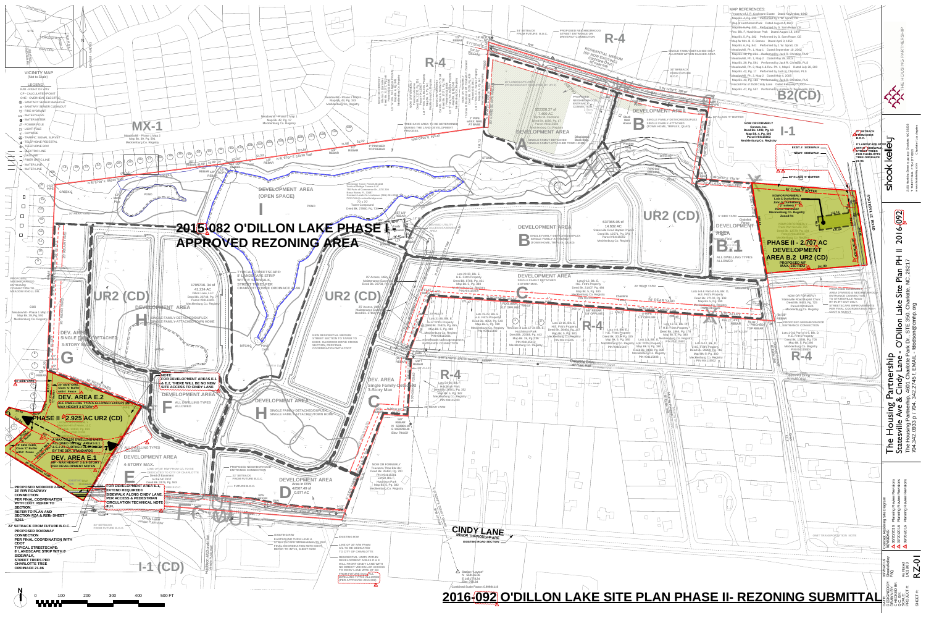